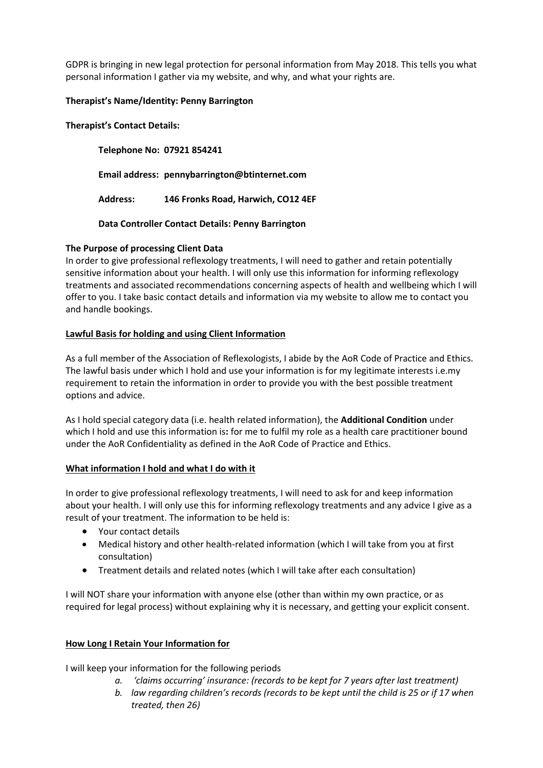GDPR is bringing in new legal protection for personal information from May 2018. This tells you what personal information I gather via my website, and why, and what your rights are.

### **Therapist's Name/Identity: Penny Barrington**

### **Therapist's Contact Details:**

**Telephone No: 07921 854241 Email address: pennybarrington@btinternet.com Address: 146 Fronks Road, Harwich, CO12 4EF**

**Data Controller Contact Details: Penny Barrington**

# **The Purpose of processing Client Data**

In order to give professional reflexology treatments, I will need to gather and retain potentially sensitive information about your health. I will only use this information for informing reflexology treatments and associated recommendations concerning aspects of health and wellbeing which I will offer to you. I take basic contact details and information via my website to allow me to contact you and handle bookings.

# **Lawful Basis for holding and using Client Information**

As a full member of the Association of Reflexologists, I abide by the AoR Code of Practice and Ethics. The lawful basis under which I hold and use your information is for my legitimate interests i.e.my requirement to retain the information in order to provide you with the best possible treatment options and advice.

As I hold special category data (i.e. health related information), the **Additional Condition** under which I hold and use this information is**:** for me to fulfil my role as a health care practitioner bound under the AoR Confidentiality as defined in the AoR Code of Practice and Ethics.

#### **What information I hold and what I do with it**

In order to give professional reflexology treatments, I will need to ask for and keep information about your health. I will only use this for informing reflexology treatments and any advice I give as a result of your treatment. The information to be held is:

- Your contact details
- Medical history and other health-related information (which I will take from you at first consultation)
- Treatment details and related notes (which I will take after each consultation)

I will NOT share your information with anyone else (other than within my own practice, or as required for legal process) without explaining why it is necessary, and getting your explicit consent.

# **How Long I Retain Your Information for**

I will keep your information for the following periods

- *a. 'claims occurring' insurance: (records to be kept for 7 years after last treatment)*
- *b. law regarding children's records (records to be kept until the child is 25 or if 17 when treated, then 26)*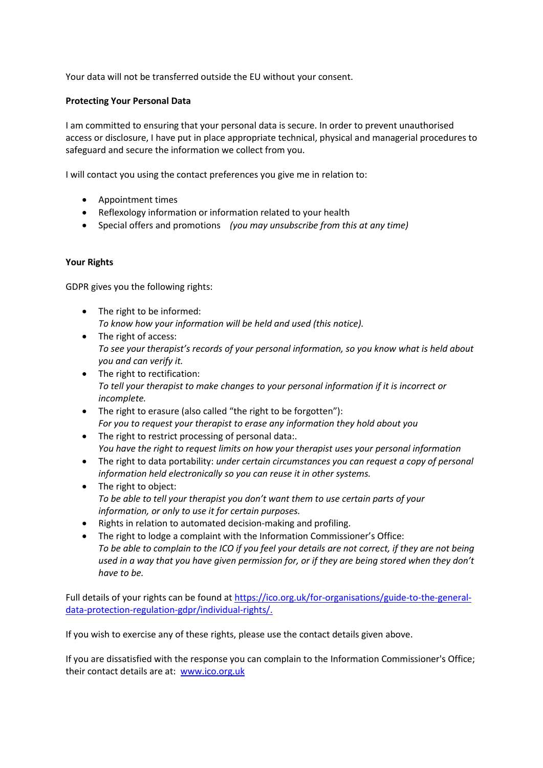Your data will not be transferred outside the EU without your consent.

### **Protecting Your Personal Data**

I am committed to ensuring that your personal data is secure. In order to prevent unauthorised access or disclosure, I have put in place appropriate technical, physical and managerial procedures to safeguard and secure the information we collect from you.

I will contact you using the contact preferences you give me in relation to:

- Appointment times
- Reflexology information or information related to your health
- Special offers and promotions *(you may unsubscribe from this at any time)*

# **Your Rights**

GDPR gives you the following rights:

- The right to be informed: *To know how your information will be held and used (this notice).*
- The right of access: *To see your therapist's records of your personal information, so you know what is held about you and can verify it.*
- The right to rectification: *To tell your therapist to make changes to your personal information if it is incorrect or incomplete.*
- The right to erasure (also called "the right to be forgotten"): *For you to request your therapist to erase any information they hold about you*
- The right to restrict processing of personal data:. *You have the right to request limits on how your therapist uses your personal information*
- The right to data portability: *under certain circumstances you can request a copy of personal information held electronically so you can reuse it in other systems.*
- The right to object: *To be able to tell your therapist you don't want them to use certain parts of your information, or only to use it for certain purposes.*
- Rights in relation to automated decision-making and profiling.
- The right to lodge a complaint with the Information Commissioner's Office: *To be able to complain to the ICO if you feel your details are not correct, if they are not being used in a way that you have given permission for, or if they are being stored when they don't have to be.*

Full details of your rights can be found at [https://ico.org.uk/for-organisations/guide-to-the-general](https://ico.org.uk/for-organisations/guide-to-the-general-data-protection-regulation-gdpr/individual-rights/)[data-protection-regulation-gdpr/individual-rights/.](https://ico.org.uk/for-organisations/guide-to-the-general-data-protection-regulation-gdpr/individual-rights/)

If you wish to exercise any of these rights, please use the contact details given above.

If you are dissatisfied with the response you can complain to the [Information Commissioner's Office;](https://ico.org.uk/) their contact details are at: [www.ico.org.uk](http://www.ico.org.uk/)